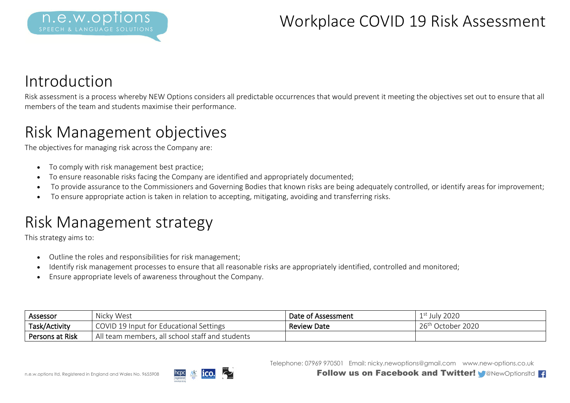### Introduction

Risk assessment is a process whereby NEW Options considers all predictable occurrences that would prevent it meeting the objectives set out to ensure that all members of the team and students maximise their performance.

### Risk Management objectives

The objectives for managing risk across the Company are:

- To comply with risk management best practice;
- To ensure reasonable risks facing the Company are identified and appropriately documented;
- To provide assurance to the Commissioners and Governing Bodies that known risks are being adequately controlled, or identify areas for improvement;
- To ensure appropriate action is taken in relation to accepting, mitigating, avoiding and transferring risks.

# Risk Management strategy

This strategy aims to:

- Outline the roles and responsibilities for risk management;
- Identify risk management processes to ensure that all reasonable risks are appropriately identified, controlled and monitored;
- Ensure appropriate levels of awareness throughout the Company.

| Assessor        | Nicky West                                      | Date of Assessment | <sup>t</sup> July 2020        |
|-----------------|-------------------------------------------------|--------------------|-------------------------------|
| Task/Activity   | COVID 19 Input for Educational Settings         | Review Date        | 26 <sup>th</sup> October 2020 |
| Persons at Risk | All team members, all school staff and students |                    |                               |

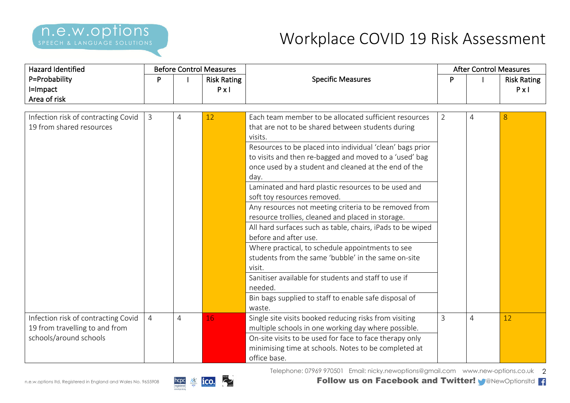| <b>Hazard Identified</b>            |                |                | <b>Before Control Measures</b> |                                                            |                | <b>After Control Measures</b> |                    |
|-------------------------------------|----------------|----------------|--------------------------------|------------------------------------------------------------|----------------|-------------------------------|--------------------|
| P=Probability                       | P              |                | <b>Risk Rating</b>             | <b>Specific Measures</b>                                   |                |                               | <b>Risk Rating</b> |
| I=Impact                            |                |                | $P \times I$                   |                                                            |                |                               | $P \times I$       |
| Area of risk                        |                |                |                                |                                                            |                |                               |                    |
|                                     |                |                |                                |                                                            |                |                               |                    |
| Infection risk of contracting Covid | 3              | 4              | 12                             | Each team member to be allocated sufficient resources      | $\overline{2}$ | 4                             | 8                  |
| 19 from shared resources            |                |                |                                | that are not to be shared between students during          |                |                               |                    |
|                                     |                |                |                                | visits.                                                    |                |                               |                    |
|                                     |                |                |                                | Resources to be placed into individual 'clean' bags prior  |                |                               |                    |
|                                     |                |                |                                | to visits and then re-bagged and moved to a 'used' bag     |                |                               |                    |
|                                     |                |                |                                | once used by a student and cleaned at the end of the       |                |                               |                    |
|                                     |                |                |                                | day.                                                       |                |                               |                    |
|                                     |                |                |                                | Laminated and hard plastic resources to be used and        |                |                               |                    |
|                                     |                |                |                                | soft toy resources removed.                                |                |                               |                    |
|                                     |                |                |                                | Any resources not meeting criteria to be removed from      |                |                               |                    |
|                                     |                |                |                                | resource trollies, cleaned and placed in storage.          |                |                               |                    |
|                                     |                |                |                                | All hard surfaces such as table, chairs, iPads to be wiped |                |                               |                    |
|                                     |                |                |                                | before and after use.                                      |                |                               |                    |
|                                     |                |                |                                | Where practical, to schedule appointments to see           |                |                               |                    |
|                                     |                |                |                                | students from the same 'bubble' in the same on-site        |                |                               |                    |
|                                     |                |                |                                | visit.                                                     |                |                               |                    |
|                                     |                |                |                                | Sanitiser available for students and staff to use if       |                |                               |                    |
|                                     |                |                |                                | needed.                                                    |                |                               |                    |
|                                     |                |                |                                | Bin bags supplied to staff to enable safe disposal of      |                |                               |                    |
|                                     |                |                |                                | waste.                                                     |                |                               |                    |
| Infection risk of contracting Covid | $\overline{4}$ | $\overline{4}$ | 16                             | Single site visits booked reducing risks from visiting     | 3              | $\overline{4}$                | 12                 |
| 19 from travelling to and from      |                |                |                                | multiple schools in one working day where possible.        |                |                               |                    |
| schools/around schools              |                |                |                                | On-site visits to be used for face to face therapy only    |                |                               |                    |
|                                     |                |                |                                | minimising time at schools. Notes to be completed at       |                |                               |                    |
|                                     |                |                |                                | office base.                                               |                |                               |                    |

Telephone: 07969 970501 Email: nicky.newoptions@gmail.com www.new-options.co.uk 2

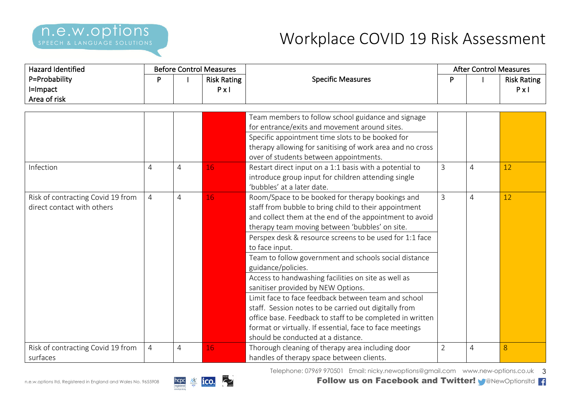| <b>Hazard Identified</b>                                        | <b>Before Control Measures</b> |                |                                    |                                                                                                                                                                                                                                                                                                                                                                                                                                                                                                                                                                                                                                                                                                                                                                |                | <b>After Control Measures</b> |                                    |  |
|-----------------------------------------------------------------|--------------------------------|----------------|------------------------------------|----------------------------------------------------------------------------------------------------------------------------------------------------------------------------------------------------------------------------------------------------------------------------------------------------------------------------------------------------------------------------------------------------------------------------------------------------------------------------------------------------------------------------------------------------------------------------------------------------------------------------------------------------------------------------------------------------------------------------------------------------------------|----------------|-------------------------------|------------------------------------|--|
| P=Probability<br>I=Impact<br>Area of risk                       | P                              |                | <b>Risk Rating</b><br>$P \times I$ | <b>Specific Measures</b>                                                                                                                                                                                                                                                                                                                                                                                                                                                                                                                                                                                                                                                                                                                                       |                |                               | <b>Risk Rating</b><br>$P \times I$ |  |
|                                                                 |                                |                |                                    |                                                                                                                                                                                                                                                                                                                                                                                                                                                                                                                                                                                                                                                                                                                                                                |                |                               |                                    |  |
|                                                                 |                                |                |                                    | Team members to follow school guidance and signage<br>for entrance/exits and movement around sites.<br>Specific appointment time slots to be booked for<br>therapy allowing for sanitising of work area and no cross<br>over of students between appointments.                                                                                                                                                                                                                                                                                                                                                                                                                                                                                                 |                |                               |                                    |  |
| Infection                                                       | 4                              | 4              | 16                                 | Restart direct input on a 1:1 basis with a potential to<br>introduce group input for children attending single<br>'bubbles' at a later date.                                                                                                                                                                                                                                                                                                                                                                                                                                                                                                                                                                                                                   | 3              | 4                             | 12                                 |  |
| Risk of contracting Covid 19 from<br>direct contact with others | $\overline{4}$                 | 4              | 16                                 | Room/Space to be booked for therapy bookings and<br>staff from bubble to bring child to their appointment<br>and collect them at the end of the appointment to avoid<br>therapy team moving between 'bubbles' on site.<br>Perspex desk & resource screens to be used for 1:1 face<br>to face input.<br>Team to follow government and schools social distance<br>guidance/policies.<br>Access to handwashing facilities on site as well as<br>sanitiser provided by NEW Options.<br>Limit face to face feedback between team and school<br>staff. Session notes to be carried out digitally from<br>office base. Feedback to staff to be completed in written<br>format or virtually. If essential, face to face meetings<br>should be conducted at a distance. | $\overline{3}$ | $\overline{4}$                | 12                                 |  |
| Risk of contracting Covid 19 from<br>surfaces                   | 4                              | $\overline{4}$ | 16                                 | Thorough cleaning of therapy area including door<br>handles of therapy space between clients.                                                                                                                                                                                                                                                                                                                                                                                                                                                                                                                                                                                                                                                                  | $\overline{2}$ | $\overline{4}$                | 8                                  |  |



Telephone: 07969 970501  $\,$  Email: nicky.newoptions@gmail.com  $\,$  www.new-options.co.uk  $\,$   $\,3$ 

n.e.w.options ltd, Registered in England and Wales No. 9655908 **Follow us on Facebook and Twitter!** @NewOptionsltd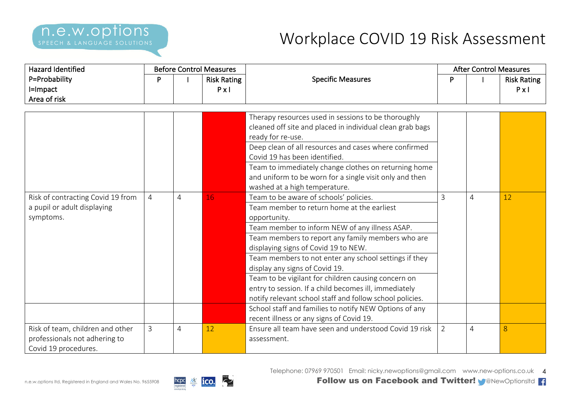| <b>Hazard Identified</b><br><b>Before Control Measures</b><br>P=Probability<br>P<br><b>Risk Rating</b><br>I=Impact<br>$P \times I$<br>Area of risk |                |                          |    |                                                                                                                                                                                                                                                                                                                                                                                                                                                                                                                            | <b>After Control Measures</b>      |   |    |
|----------------------------------------------------------------------------------------------------------------------------------------------------|----------------|--------------------------|----|----------------------------------------------------------------------------------------------------------------------------------------------------------------------------------------------------------------------------------------------------------------------------------------------------------------------------------------------------------------------------------------------------------------------------------------------------------------------------------------------------------------------------|------------------------------------|---|----|
|                                                                                                                                                    |                | <b>Specific Measures</b> | P  |                                                                                                                                                                                                                                                                                                                                                                                                                                                                                                                            | <b>Risk Rating</b><br>$P \times I$ |   |    |
|                                                                                                                                                    |                |                          |    | Therapy resources used in sessions to be thoroughly<br>cleaned off site and placed in individual clean grab bags<br>ready for re-use.<br>Deep clean of all resources and cases where confirmed<br>Covid 19 has been identified.<br>Team to immediately change clothes on returning home<br>and uniform to be worn for a single visit only and then<br>washed at a high temperature.                                                                                                                                        |                                    |   |    |
| Risk of contracting Covid 19 from<br>a pupil or adult displaying<br>symptoms.                                                                      | $\overline{4}$ | $\overline{4}$           | 16 | Team to be aware of schools' policies.<br>Team member to return home at the earliest<br>opportunity.<br>Team member to inform NEW of any illness ASAP.<br>Team members to report any family members who are<br>displaying signs of Covid 19 to NEW.<br>Team members to not enter any school settings if they<br>display any signs of Covid 19.<br>Team to be vigilant for children causing concern on<br>entry to session. If a child becomes ill, immediately<br>notify relevant school staff and follow school policies. | $\overline{3}$                     | 4 | 12 |
|                                                                                                                                                    |                |                          |    | School staff and families to notify NEW Options of any<br>recent illness or any signs of Covid 19.                                                                                                                                                                                                                                                                                                                                                                                                                         |                                    |   |    |
| Risk of team, children and other<br>professionals not adhering to<br>Covid 19 procedures.                                                          | $\overline{3}$ | 4                        | 12 | Ensure all team have seen and understood Covid 19 risk<br>assessment.                                                                                                                                                                                                                                                                                                                                                                                                                                                      | $\overline{2}$                     | 4 | 8  |

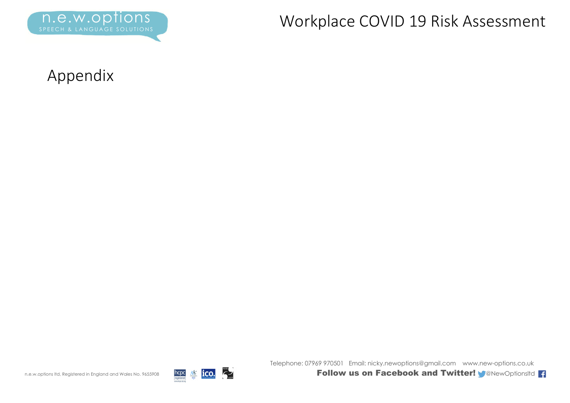

#### Appendix



Telephone: 07969 970501 Email: nicky.newoptions@gmail.com www.new-options.co.uk

n.e.w.options ltd, Registered in England and Wales No. 9655908 **Follow us on Facebook and Twitter! M**@NewOptionsltd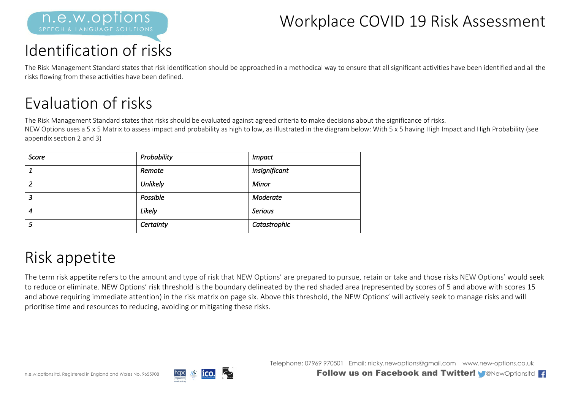

# Identification of risks

The Risk Management Standard states that risk identification should be approached in a methodical way to ensure that all significant activities have been identified and all the risks flowing from these activities have been defined.

## Evaluation of risks

The Risk Management Standard states that risks should be evaluated against agreed criteria to make decisions about the significance of risks.

NEW Options uses a 5 x 5 Matrix to assess impact and probability as high to low, as illustrated in the diagram below: With 5 x 5 having High Impact and High Probability (see appendix section 2 and 3)

| Score | Probability | <b>Impact</b>  |
|-------|-------------|----------------|
|       | Remote      | Insignificant  |
| ົ     | Unlikely    | Minor          |
| 3     | Possible    | Moderate       |
| 4     | Likely      | <b>Serious</b> |
| 5     | Certainty   | Catastrophic   |

## Risk appetite

The term risk appetite refers to the amount and type of risk that NEW Options' are prepared to pursue, retain or take and those risks NEW Options' would seek to reduce or eliminate. NEW Options' risk threshold is the boundary delineated by the red shaded area (represented by scores of 5 and above with scores 15 and above requiring immediate attention) in the risk matrix on page six. Above this threshold, the NEW Options' will actively seek to manage risks and will prioritise time and resources to reducing, avoiding or mitigating these risks.



Telephone: 07969 970501 Email: nicky.newoptions@gmail.com www.new-options.co.uk

n.e.w.options ltd, Registered in England and Wales No. 9655908 **Follow us on Facebook and Twitter!** @NewOptionsltd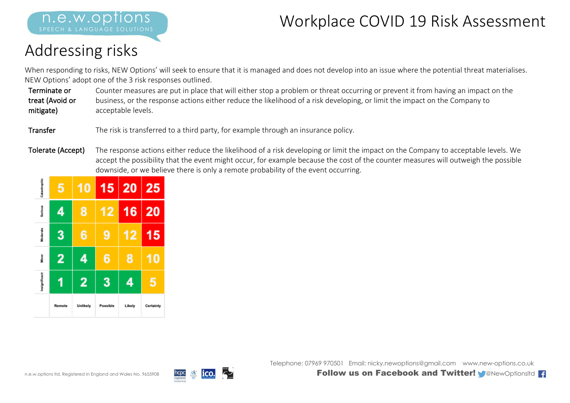# Addressing risks

SPEECH & LANGUAGE SOLUTIONS

n.e.w.opt

When responding to risks, NEW Options' will seek to ensure that it is managed and does not develop into an issue where the potential threat materialises. NEW Options' adopt one of the 3 risk responses outlined.

Terminate or treat (Avoid or mitigate) Counter measures are put in place that will either stop a problem or threat occurring or prevent it from having an impact on the business, or the response actions either reduce the likelihood of a risk developing, or limit the impact on the Company to acceptable levels.

Transfer The risk is transferred to a third party, for example through an insurance policy.

Tolerate (Accept) The response actions either reduce the likelihood of a risk developing or limit the impact on the Company to acceptable levels. We accept the possibility that the event might occur, for example because the cost of the counter measures will outweigh the possible downside, or we believe there is only a remote probability of the event occurring.

| Catastrophic  | 5      | 10             | 15 <sub>1</sub> | $\overline{20}$ | 25        |
|---------------|--------|----------------|-----------------|-----------------|-----------|
| Serious       | 4      | 8              | 12              | 16              | 20        |
| Moderate      | 3      | 6              | 9               | 12              | 15        |
| Minor         | 2      | 4              | 6               | 8               | O         |
| Insignificant | 1      | $\overline{2}$ | 3               | 4               | 5         |
|               | Remote | Unlikely       | Possible        | Likely          | Certainty |



Telephone: 07969 970501 Email: nicky.newoptions@gmail.com www.new-options.co.uk